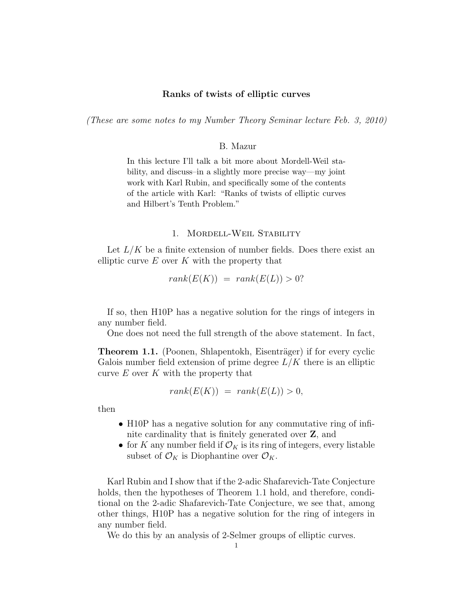## Ranks of twists of elliptic curves

(These are some notes to my Number Theory Seminar lecture Feb. 3, 2010)

## B. Mazur

In this lecture I'll talk a bit more about Mordell-Weil stability, and discuss–in a slightly more precise way—my joint work with Karl Rubin, and specifically some of the contents of the article with Karl: "Ranks of twists of elliptic curves and Hilbert's Tenth Problem."

#### 1. Mordell-Weil Stability

Let  $L/K$  be a finite extension of number fields. Does there exist an elliptic curve  $E$  over  $K$  with the property that

$$
rank(E(K)) = rank(E(L)) > 0?
$$

If so, then H10P has a negative solution for the rings of integers in any number field.

One does not need the full strength of the above statement. In fact,

**Theorem 1.1.** (Poonen, Shlapentokh, Eisenträger) if for every cyclic Galois number field extension of prime degree  $L/K$  there is an elliptic curve  $E$  over  $K$  with the property that

$$
rank(E(K)) = rank(E(L)) > 0,
$$

then

- H10P has a negative solution for any commutative ring of infinite cardinality that is finitely generated over Z, and
- for K any number field if  $\mathcal{O}_K$  is its ring of integers, every listable subset of  $\mathcal{O}_K$  is Diophantine over  $\mathcal{O}_K$ .

Karl Rubin and I show that if the 2-adic Shafarevich-Tate Conjecture holds, then the hypotheses of Theorem 1.1 hold, and therefore, conditional on the 2-adic Shafarevich-Tate Conjecture, we see that, among other things, H10P has a negative solution for the ring of integers in any number field.

We do this by an analysis of 2-Selmer groups of elliptic curves.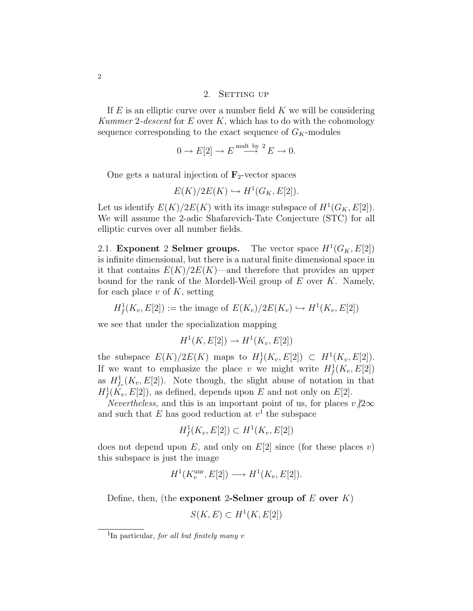## 2. SETTING UP

If  $E$  is an elliptic curve over a number field  $K$  we will be considering Kummer 2-descent for  $E$  over  $K$ , which has to do with the cohomology sequence corresponding to the exact sequence of  $G_K$ -modules

$$
0 \to E[2] \to E \stackrel{\text{mult by } 2}{\longrightarrow} E \to 0.
$$

One gets a natural injection of  $\mathbf{F}_2$ -vector spaces

$$
E(K)/2E(K) \hookrightarrow H^1(G_K, E[2]).
$$

Let us identify  $E(K)/2E(K)$  with its image subspace of  $H^1(G_K, E[2])$ . We will assume the 2-adic Shafarevich-Tate Conjecture (STC) for all elliptic curves over all number fields.

2.1. Exponent 2 Selmer groups. The vector space  $H^1(G_K, E[2])$ is infinite dimensional, but there is a natural finite dimensional space in it that contains  $E(K)/2E(K)$ —and therefore that provides an upper bound for the rank of the Mordell-Weil group of  $E$  over  $K$ . Namely, for each place  $v$  of  $K$ , setting

$$
H^1_f(K_v, E[2]) :=
$$
 the image of  $E(K_v)/2E(K_v) \hookrightarrow H^1(K_v, E[2])$ 

we see that under the specialization mapping

$$
H^1(K, E[2]) \to H^1(K_v, E[2])
$$

the subspace  $E(K)/2E(K)$  maps to  $H_f^1(K_v, E[2]) \subset H^1(K_v, E[2])$ . If we want to emphasize the place v we might write  $H^1_f(K_v, E[2])$ as  $H_{f_v}^1(K_v, E[2])$ . Note though, the slight abuse of notation in that  $H^1_f(K_v, E[2])$ , as defined, depends upon E and not only on E[2].

Nevertheless, and this is an important point of us, for places  $v/2\infty$ and such that E has good reduction at  $v<sup>1</sup>$  the subspace

$$
H^1_f(K_v, E[2]) \subset H^1(K_v, E[2])
$$

does not depend upon E, and only on  $E[2]$  since (for these places v) this subspace is just the image

$$
H^1(K_v^{\text{unr}}, E[2]) \longrightarrow H^1(K_v, E[2]).
$$

Define, then, (the exponent 2-Selmer group of  $E$  over  $K$ )

$$
S(K, E) \subset H^1(K, E[2])
$$

<sup>&</sup>lt;sup>1</sup>In particular, for all but finitely many  $v$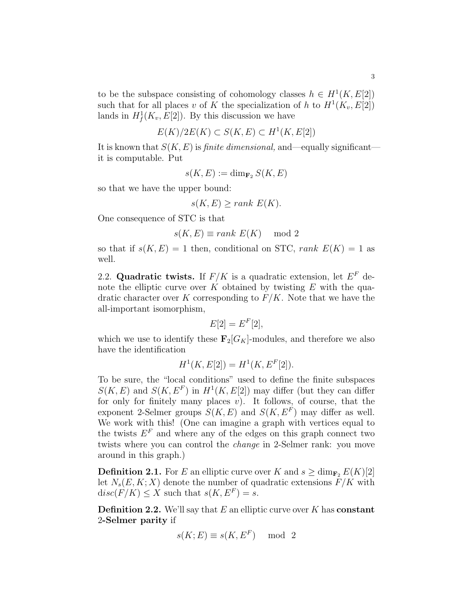to be the subspace consisting of cohomology classes  $h \in H^1(K, E[2])$ such that for all places v of K the specialization of h to  $H^1(K_v, E[2])$ lands in  $H_f^1(K_v, E[2])$ . By this discussion we have

$$
E(K)/2E(K) \subset S(K, E) \subset H^1(K, E[2])
$$

It is known that  $S(K, E)$  is *finite dimensional*, and—equally significant it is computable. Put

$$
s(K, E) := \dim_{\mathbf{F}_2} S(K, E)
$$

so that we have the upper bound:

$$
s(K, E) \ge rank E(K).
$$

One consequence of STC is that

$$
s(K, E) \equiv rank E(K) \mod 2
$$

so that if  $s(K, E) = 1$  then, conditional on STC, rank  $E(K) = 1$  as well.

2.2. Quadratic twists. If  $F/K$  is a quadratic extension, let  $E^F$  denote the elliptic curve over  $K$  obtained by twisting  $E$  with the quadratic character over K corresponding to  $F/K$ . Note that we have the all-important isomorphism,

$$
E[2] = E^F[2],
$$

which we use to identify these  $\mathbf{F}_2[G_K]$ -modules, and therefore we also have the identification

$$
H^1(K, E[2]) = H^1(K, E^F[2]).
$$

To be sure, the "local conditions" used to define the finite subspaces  $S(K, E)$  and  $S(K, E^F)$  in  $H^1(K, E[2])$  may differ (but they can differ for only for finitely many places v). It follows, of course, that the exponent 2-Selmer groups  $S(K, E)$  and  $S(K, E^F)$  may differ as well. We work with this! (One can imagine a graph with vertices equal to the twists  $E^F$  and where any of the edges on this graph connect two twists where you can control the change in 2-Selmer rank: you move around in this graph.)

**Definition 2.1.** For E an elliptic curve over K and  $s \ge \dim_{\mathbf{F}_2} E(K)[2]$ let  $N_s(E, K; X)$  denote the number of quadratic extensions  $F/K$  with  $disc(F/K) \leq X$  such that  $s(K, E^F) = s$ .

**Definition 2.2.** We'll say that E an elliptic curve over K has **constant** 2-Selmer parity if

$$
s(K; E) \equiv s(K, E^F) \mod 2
$$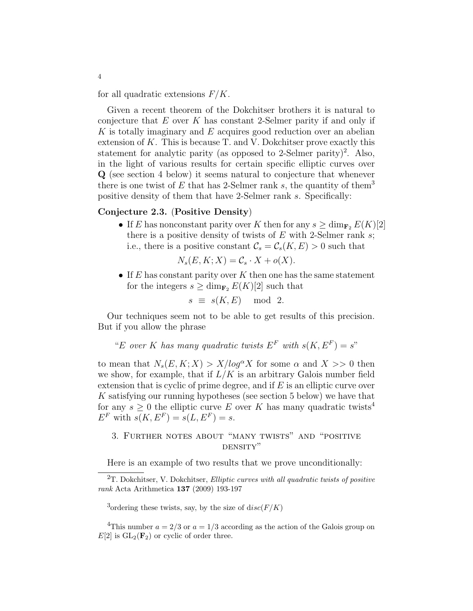for all quadratic extensions  $F/K$ .

Given a recent theorem of the Dokchitser brothers it is natural to conjecture that  $E$  over  $K$  has constant 2-Selmer parity if and only if  $K$  is totally imaginary and  $E$  acquires good reduction over an abelian extension of  $K$ . This is because T. and V. Dokchitser prove exactly this statement for analytic parity (as opposed to 2-Selmer parity)<sup>2</sup>. Also, in the light of various results for certain specific elliptic curves over Q (see section 4 below) it seems natural to conjecture that whenever there is one twist of E that has 2-Selmer rank s, the quantity of them<sup>3</sup> positive density of them that have 2-Selmer rank s. Specifically:

## Conjecture 2.3. (Positive Density)

• If E has nonconstant parity over K then for any  $s \ge \dim_{\mathbf{F}_2} E(K)[2]$ there is a positive density of twists of  $E$  with 2-Selmer rank  $s$ ; i.e., there is a positive constant  $\mathcal{C}_s = \mathcal{C}_s(K, E) > 0$  such that

$$
N_s(E, K; X) = C_s \cdot X + o(X).
$$

• If  $E$  has constant parity over  $K$  then one has the same statement for the integers  $s \ge \dim_{\mathbf{F}_2} E(K)[2]$  such that

$$
s \equiv s(K, E) \mod 2.
$$

Our techniques seem not to be able to get results of this precision. But if you allow the phrase

"E over K has many quadratic twists  $E^F$  with  $s(K, E^F) = s$ "

to mean that  $N_s(E, K; X) > X/log^{\alpha} X$  for some  $\alpha$  and  $X >> 0$  then we show, for example, that if  $L/K$  is an arbitrary Galois number field extension that is cyclic of prime degree, and if  $E$  is an elliptic curve over K satisfying our running hypotheses (see section 5 below) we have that for any  $s \geq 0$  the elliptic curve E over K has many quadratic twists<sup>4</sup>  $E^F$  with  $s(K, E^F) = s(L, E^F) = s$ .

# 3. Further notes about "many twists" and "positive density"

Here is an example of two results that we prove unconditionally:

<sup>3</sup>ordering these twists, say, by the size of  $disc(F/K)$ 

<sup>4</sup>This number  $a = 2/3$  or  $a = 1/3$  according as the action of the Galois group on  $E[2]$  is  $GL_2(\mathbf{F}_2)$  or cyclic of order three.

 $2T$ . Dokchitser, V. Dokchitser, *Elliptic curves with all quadratic twists of positive* rank Acta Arithmetica 137 (2009) 193-197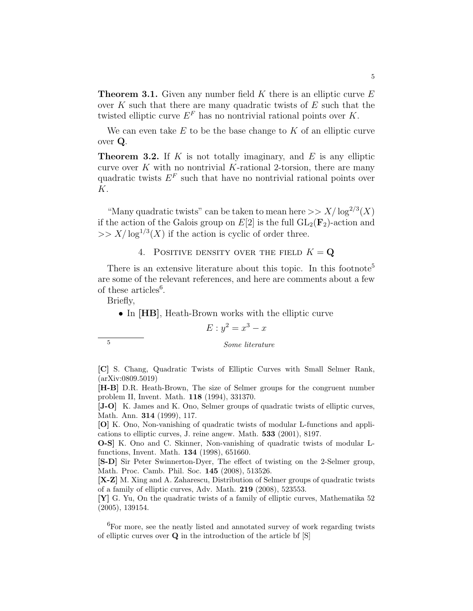**Theorem 3.1.** Given any number field K there is an elliptic curve  $E$ over K such that there are many quadratic twists of  $E$  such that the twisted elliptic curve  $E^F$  has no nontrivial rational points over K.

We can even take  $E$  to be the base change to  $K$  of an elliptic curve over Q.

**Theorem 3.2.** If  $K$  is not totally imaginary, and  $E$  is any elliptic curve over  $K$  with no nontrivial  $K$ -rational 2-torsion, there are many quadratic twists  $E^F$  such that have no nontrivial rational points over K.

"Many quadratic twists" can be taken to mean here  $\gg X/\log^{2/3}(X)$ if the action of the Galois group on  $E[2]$  is the full  $GL_2(\mathbf{F}_2)$ -action and  $>> X/\log^{1/3}(X)$  if the action is cyclic of order three.

# 4. POSITIVE DENSITY OVER THE FIELD  $K = \mathbf{Q}$

There is an extensive literature about this topic. In this footnote<sup>5</sup> are some of the relevant references, and here are comments about a few of these articles<sup>6</sup>.

Briefly,

• In [HB], Heath-Brown works with the elliptic curve

$$
E: y^2 = x^3 - x
$$

<sup>5</sup> Some literature

[C] S. Chang, Quadratic Twists of Elliptic Curves with Small Selmer Rank, (arXiv:0809.5019)

[H-B] D.R. Heath-Brown, The size of Selmer groups for the congruent number problem II, Invent. Math. 118 (1994), 331370.

[J-O] K. James and K. Ono, Selmer groups of quadratic twists of elliptic curves, Math. Ann. 314 (1999), 117.

[O] K. Ono, Non-vanishing of quadratic twists of modular L-functions and applications to elliptic curves, J. reine angew. Math. 533 (2001), 8197.

O-S] K. Ono and C. Skinner, Non-vanishing of quadratic twists of modular Lfunctions, Invent. Math. 134 (1998), 651660.

[S-D] Sir Peter Swinnerton-Dyer, The effect of twisting on the 2-Selmer group, Math. Proc. Camb. Phil. Soc. 145 (2008), 513526.

[X-Z] M. Xing and A. Zaharescu, Distribution of Selmer groups of quadratic twists of a family of elliptic curves, Adv. Math. 219 (2008), 523553.

[Y] G. Yu, On the quadratic twists of a family of elliptic curves, Mathematika 52 (2005), 139154.

 $\rm ^6For$  more, see the neatly listed and annotated survey of work regarding twists of elliptic curves over Q in the introduction of the article bf [S]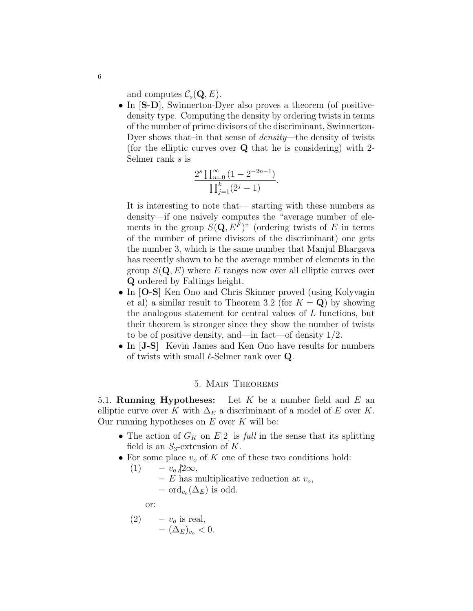and computes  $\mathcal{C}_s(\mathbf{Q}, E)$ .

• In  $[S-D]$ , Swinnerton-Dyer also proves a theorem (of positivedensity type. Computing the density by ordering twists in terms of the number of prime divisors of the discriminant, Swinnerton-Dyer shows that–in that sense of *density*—the density of twists (for the elliptic curves over Q that he is considering) with 2- Selmer rank s is

$$
\frac{2^s \prod_{n=0}^{\infty} (1 - 2^{-2n-1})}{\prod_{j=1}^k (2^j - 1)}.
$$

It is interesting to note that— starting with these numbers as density—if one naively computes the "average number of elements in the group  $S(Q, E^F)$ " (ordering twists of E in terms of the number of prime divisors of the discriminant) one gets the number 3, which is the same number that Manjul Bhargava has recently shown to be the average number of elements in the group  $S(\mathbf{Q}, E)$  where E ranges now over all elliptic curves over Q ordered by Faltings height.

- In [O-S] Ken Ono and Chris Skinner proved (using Kolyvagin et al) a similar result to Theorem 3.2 (for  $K = Q$ ) by showing the analogous statement for central values of L functions, but their theorem is stronger since they show the number of twists to be of positive density, and—in fact—of density 1/2.
- In [J-S] Kevin James and Ken Ono have results for numbers of twists with small  $\ell$ -Selmer rank over Q.

## 5. Main Theorems

5.1. **Running Hypotheses:** Let K be a number field and E an elliptic curve over K with  $\Delta_E$  a discriminant of a model of E over K. Our running hypotheses on  $E$  over  $K$  will be:

- The action of  $G_K$  on  $E[2]$  is full in the sense that its splitting field is an  $S_3$ -extension of K.
- For some place  $v<sub>o</sub>$  of K one of these two conditions hold:

$$
- v_o/2\infty,
$$

–  $E$  has multiplicative reduction at  $v_o$ ,  $-$  ord<sub>v<sub>o</sub></sub> $(\Delta_E)$  is odd.

or:

 $(1)$ 

(2) 
$$
- v_o \text{ is real,} - (\Delta_E)_{v_o} < 0.
$$

6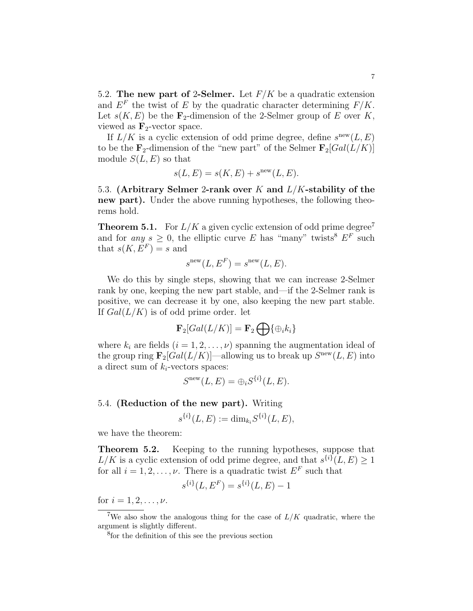5.2. The new part of 2-Selmer. Let  $F/K$  be a quadratic extension and  $E^F$  the twist of E by the quadratic character determining  $F/K$ . Let  $s(K, E)$  be the  $\mathbf{F}_2$ -dimension of the 2-Selmer group of E over K, viewed as  $\mathbf{F}_2$ -vector space.

If  $L/K$  is a cyclic extension of odd prime degree, define  $s^{\text{new}}(L, E)$ to be the  $\mathbf{F}_2$ -dimension of the "new part" of the Selmer  $\mathbf{F}_2[Gal(L/K)]$ module  $S(L, E)$  so that

$$
s(L, E) = s(K, E) + snew(L, E).
$$

5.3. (Arbitrary Selmer 2-rank over K and  $L/K$ -stability of the new part). Under the above running hypotheses, the following theorems hold.

**Theorem 5.1.** For  $L/K$  a given cyclic extension of odd prime degree<sup>7</sup> and for any  $s \geq 0$ , the elliptic curve E has "many" twists  $E^F$  such that  $s(K, E^F) = s$  and

$$
s^{\text{new}}(L, E^F) = s^{\text{new}}(L, E).
$$

We do this by single steps, showing that we can increase 2-Selmer rank by one, keeping the new part stable, and—if the 2-Selmer rank is positive, we can decrease it by one, also keeping the new part stable. If  $Gal(L/K)$  is of odd prime order. let

$$
\mathbf{F}_2[Gal(L/K)] = \mathbf{F}_2 \bigoplus {\{\oplus_i k_i\}}
$$

where  $k_i$  are fields  $(i = 1, 2, \ldots, \nu)$  spanning the augmentation ideal of the group ring  $\mathbf{F}_2[Gal(L/K)]$ —allowing us to break up  $S^{\text{new}}(L, E)$  into a direct sum of  $k_i$ -vectors spaces:

$$
S^{\text{new}}(L, E) = \bigoplus_i S^{\{i\}}(L, E).
$$

## 5.4. (Reduction of the new part). Writing

$$
s^{\{i\}}(L,E) := \dim_{k_i} S^{\{i\}}(L,E),
$$

we have the theorem:

Theorem 5.2. Keeping to the running hypotheses, suppose that  $L/K$  is a cyclic extension of odd prime degree, and that  $s^{\{i\}}(L,E) \geq 1$ for all  $i = 1, 2, ..., \nu$ . There is a quadratic twist  $E^F$  such that

$$
s^{\{i\}}(L, E^F) = s^{\{i\}}(L, E) - 1
$$

for  $i = 1, 2, ..., \nu$ .

<sup>&</sup>lt;sup>7</sup>We also show the analogous thing for the case of  $L/K$  quadratic, where the argument is slightly different.

<sup>8</sup> for the definition of this see the previous section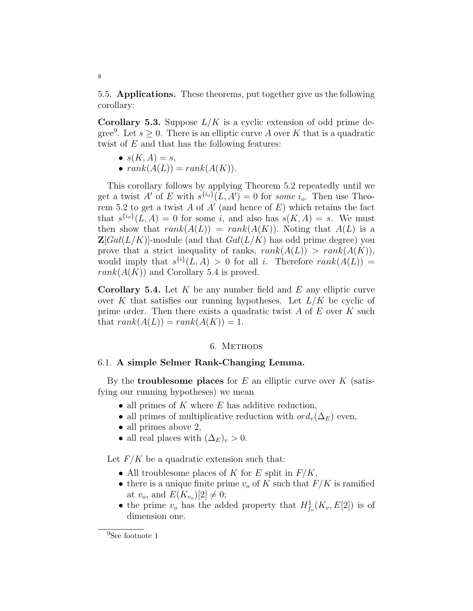5.5. Applications. These theorems, put together give us the following corollary:

**Corollary 5.3.** Suppose  $L/K$  is a cyclic extension of odd prime degree<sup>9</sup>. Let  $s \geq 0$ . There is an elliptic curve A over K that is a quadratic twist of  $E$  and that has the following features:

- $s(K, A) = s$ ,
- $rank(A(L)) = rank(A(K)).$

This corollary follows by applying Theorem 5.2 repeatedly until we get a twist A' of E with  $s^{\{i_o\}}(L, A') = 0$  for some  $i_o$ . Then use Theorem 5.2 to get a twist A of A' (and hence of  $E$ ) which retains the fact that  $s^{\{i_0\}}(L, A) = 0$  for some i, and also has  $s(K, A) = s$ . We must then show that  $rank(A(L)) = rank(A(K))$ . Noting that  $A(L)$  is a  $\mathbf{Z}[Gal(L/K)]$ -module (and that  $Gal(L/K)$ ) has odd prime degree) you prove that a strict inequality of ranks,  $rank(A(L)) > rank(A(K)),$ would imply that  $s^{\{i\}}(L, A) > 0$  for all i. Therefore  $rank(A(L)) =$  $rank(A(K))$  and Corollary 5.4 is proved.

**Corollary 5.4.** Let K be any number field and E any elliptic curve over K that satisfies our running hypotheses. Let  $L/K$  be cyclic of prime order. Then there exists a quadratic twist  $A$  of  $E$  over  $K$  such that  $rank(A(L)) = rank(A(K)) = 1.$ 

### 6. METHODS

## 6.1. A simple Selmer Rank-Changing Lemma.

By the **troublesome places** for  $E$  an elliptic curve over  $K$  (satisfying our running hypotheses) we mean

- all primes of  $K$  where  $E$  has additive reduction,
- all primes of multiplicative reduction with  $ord_v(\Delta_E)$  even,
- all primes above 2,
- all real places with  $(\Delta_E)_v > 0$ .

Let  $F/K$  be a quadratic extension such that:

- All troublesome places of K for E split in  $F/K$ ,
- there is a unique finite prime  $v<sub>o</sub>$  of K such that  $F/K$  is ramified at  $v_o$ , and  $E(K_{v_o})[2] \neq 0;$
- the prime  $v_o$  has the added property that  $H^1_{f_v}(K_v, E[2])$  is of dimension one.

#### 8

<sup>&</sup>lt;sup>9</sup>See footnote 1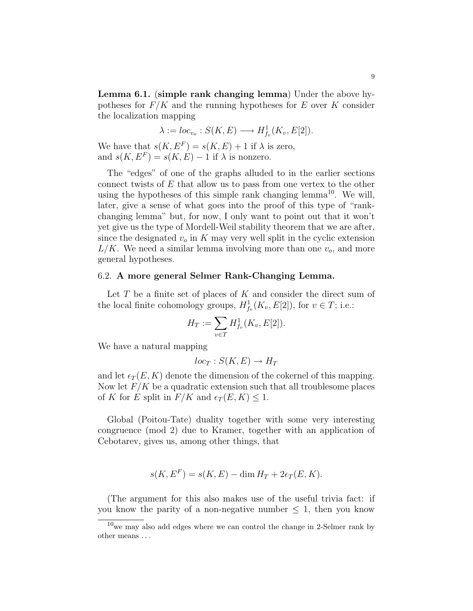Lemma 6.1. (simple rank changing lemma) Under the above hypotheses for  $F/K$  and the running hypotheses for E over K consider the localization mapping

$$
\lambda := loc_{v_o} : S(K, E) \longrightarrow H^1_{f_v}(K_v, E[2]).
$$

We have that  $s(K, E^F) = s(K, E) + 1$  if  $\lambda$  is zero, and  $s(K, E^F) = s(K, E) - 1$  if  $\lambda$  is nonzero.

The "edges" of one of the graphs alluded to in the earlier sections connect twists of  $E$  that allow us to pass from one vertex to the other using the hypotheses of this simple rank changing lemma<sup>10</sup>. We will, later, give a sense of what goes into the proof of this type of "rankchanging lemma" but, for now, I only want to point out that it won't yet give us the type of Mordell-Weil stability theorem that we are after, since the designated  $v<sub>o</sub>$  in K may very well split in the cyclic extension  $L/K$ . We need a similar lemma involving more than one  $v<sub>o</sub>$ , and more general hypotheses.

## 6.2. A more general Selmer Rank-Changing Lemma.

Let  $T$  be a finite set of places of  $K$  and consider the direct sum of the local finite cohomology groups,  $H^1_{f_v}(K_v, E[2])$ , for  $v \in T$ ; i.e.:

$$
H_T := \sum_{v \in T} H^1_{f_v}(K_v, E[2]).
$$

We have a natural mapping

$$
loc_T : S(K, E) \to H_T
$$

and let  $\epsilon_T (E, K)$  denote the dimension of the cokernel of this mapping. Now let  $F/K$  be a quadratic extension such that all troublesome places of K for E split in  $F/K$  and  $\epsilon_T (E, K) \leq 1$ .

Global (Poitou-Tate) duality together with some very interesting congruence (mod 2) due to Kramer, together with an application of Cebotarev, gives us, among other things, that

$$
s(K, EF) = s(K, E) - \dim HT + 2\epsilon_T(E, K).
$$

(The argument for this also makes use of the useful trivia fact: if you know the parity of a non-negative number  $\leq 1$ , then you know

 $10$  we may also add edges where we can control the change in 2-Selmer rank by other means . . .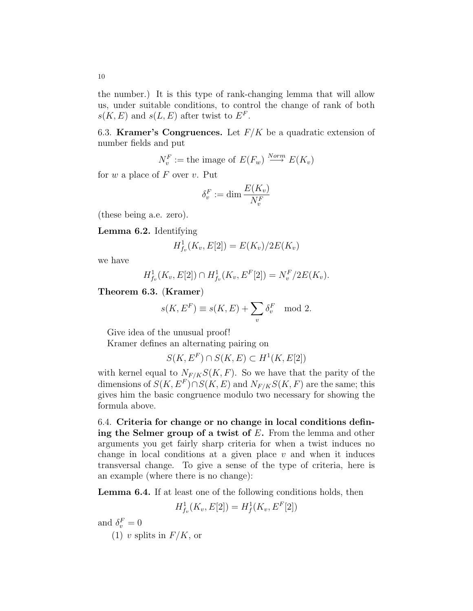6.3. **Kramer's Congruences.** Let  $F/K$  be a quadratic extension of number fields and put

$$
N_v^F := \text{the image of } E(F_w) \stackrel{Norm}{\longrightarrow} E(K_v)
$$

for  $w$  a place of  $F$  over  $v$ . Put

$$
\delta_v^F := \dim \frac{E(K_v)}{N_v^F}
$$

(these being a.e. zero).

Lemma 6.2. Identifying

$$
H^1_{f_v}(K_v, E[2]) = E(K_v)/2E(K_v)
$$

we have

$$
H^1_{f_v}(K_v, E[2]) \cap H^1_{f_v}(K_v, E^F[2]) = N_v^F/2E(K_v).
$$

Theorem 6.3. (Kramer)

$$
s(K, EF) \equiv s(K, E) + \sum_{v} \delta_v^F \mod 2.
$$

Give idea of the unusual proof!

Kramer defines an alternating pairing on

$$
S(K, E^F) \cap S(K, E) \subset H^1(K, E[2])
$$

with kernel equal to  $N_{F/K}S(K, F)$ . So we have that the parity of the dimensions of  $S(K, E^F) \cap S(K, E)$  and  $N_{F/K}S(K, F)$  are the same; this gives him the basic congruence modulo two necessary for showing the formula above.

6.4. Criteria for change or no change in local conditions defining the Selmer group of a twist of  $E$ . From the lemma and other arguments you get fairly sharp criteria for when a twist induces no change in local conditions at a given place  $v$  and when it induces transversal change. To give a sense of the type of criteria, here is an example (where there is no change):

Lemma 6.4. If at least one of the following conditions holds, then

$$
H^1_{f_v}(K_v, E[2]) = H^1_f(K_v, E^F[2])
$$

and  $\delta_v^F = 0$ 

(1) v splits in  $F/K$ , or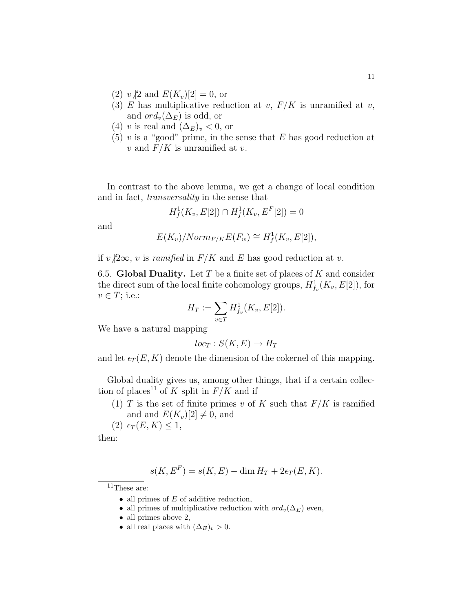- (2)  $v/2$  and  $E(K_v)[2] = 0$ , or
- (3) E has multiplicative reduction at v,  $F/K$  is unramified at v, and  $ord_v(\Delta_E)$  is odd, or
- (4) v is real and  $(\Delta_E)_v < 0$ , or
- (5) v is a "good" prime, in the sense that  $E$  has good reduction at v and  $F/K$  is unramified at v.

In contrast to the above lemma, we get a change of local condition and in fact, transversality in the sense that

$$
H^1_f(K_v, E[2]) \cap H^1_f(K_v, E^F[2]) = 0
$$

and

$$
E(K_v)/Norm_{F/K}E(F_w) \cong H^1_f(K_v, E[2]),
$$

if  $v/2\infty$ , v is ramified in  $F/K$  and E has good reduction at v.

6.5. Global Duality. Let T be a finite set of places of K and consider the direct sum of the local finite cohomology groups,  $H_{f_v}^1(K_v, E[2])$ , for  $v \in T$ ; i.e.:

$$
H_T := \sum_{v \in T} H^1_{f_v}(K_v, E[2]).
$$

We have a natural mapping

$$
loc_T : S(K, E) \to H_T
$$

and let  $\epsilon_T (E, K)$  denote the dimension of the cokernel of this mapping.

Global duality gives us, among other things, that if a certain collection of places<sup>11</sup> of K split in  $F/K$  and if

(1) T is the set of finite primes v of K such that  $F/K$  is ramified and and  $E(K_v)[2] \neq 0$ , and

 $(2) \epsilon_T (E, K) \leq 1$ ,

then:

$$
s(K, EF) = s(K, E) - \dim HT + 2\epsilon_T(E, K).
$$

 $^{11}\mathrm{These}$  are:

- all primes of  $E$  of additive reduction,
- all primes of multiplicative reduction with  $ord_v(\Delta_E)$  even,
- all primes above 2,
- all real places with  $(\Delta_E)_v > 0$ .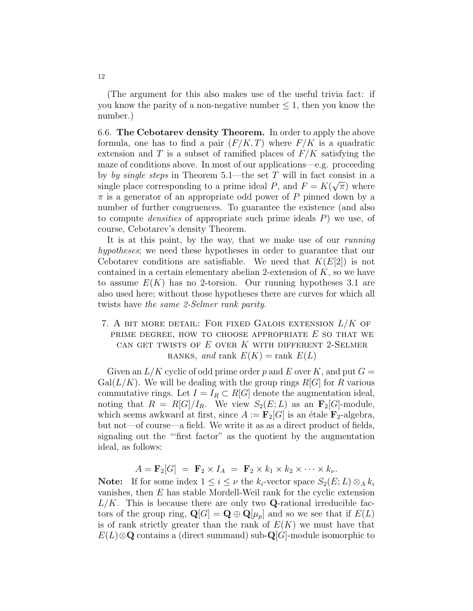(The argument for this also makes use of the useful trivia fact: if you know the parity of a non-negative number  $\leq 1$ , then you know the number.)

6.6. The Cebotarev density Theorem. In order to apply the above formula, one has to find a pair  $(F/K, T)$  where  $F/K$  is a quadratic extension and T is a subset of ramified places of  $F/K$  satisfying the maze of conditions above. In most of our applications—e.g. proceeding by by single steps in Theorem 5.1—the set T will in fact consist in a single place corresponding to a prime ideal P, and  $F = K(\sqrt{\pi})$  where  $\pi$  is a generator of an appropriate odd power of P pinned down by a number of further congruences. To guarantee the existence (and also to compute *densities* of appropriate such prime ideals  $P$ ) we use, of course, Cebotarev's density Theorem.

It is at this point, by the way, that we make use of our *running* hypotheses; we need these hypotheses in order to guarantee that our Cebotarev conditions are satisfiable. We need that  $K(E[2])$  is not contained in a certain elementary abelian 2-extension of  $K$ , so we have to assume  $E(K)$  has no 2-torsion. Our running hypotheses 3.1 are also used here; without those hypotheses there are curves for which all twists have the same 2-Selmer rank parity.

7. A BIT MORE DETAIL: FOR FIXED GALOIS EXTENSION  $L/K$  of PRIME DEGREE, HOW TO CHOOSE APPROPRIATE  $E$  SO THAT WE CAN GET TWISTS OF  $E$  OVER  $K$  with different 2-Selmer RANKS, and rank  $E(K) = \text{rank } E(L)$ 

Given an  $L/K$  cyclic of odd prime order p and E over K, and put  $G =$  $Gal(L/K)$ . We will be dealing with the group rings  $R[G]$  for R various commutative rings. Let  $I = I_R \subset R[G]$  denote the augmentation ideal, noting that  $R = R[G]/I_R$ . We view  $S_2(E; L)$  as an  $\mathbf{F}_2[G]$ -module, which seems awkward at first, since  $A := \mathbf{F}_2[G]$  is an étale  $\mathbf{F}_2$ -algebra, but not—of course—a field. We write it as as a direct product of fields, signaling out the "'first factor" as the quotient by the augmentation ideal, as follows:

$$
A = \mathbf{F}_2[G] = \mathbf{F}_2 \times I_A = \mathbf{F}_2 \times k_1 \times k_2 \times \cdots \times k_{\nu}.
$$

**Note:** If for some index  $1 \leq i \leq \nu$  the  $k_i$ -vector space  $S_2(E; L) \otimes_A k_i$ vanishes, then  $E$  has stable Mordell-Weil rank for the cyclic extension  $L/K$ . This is because there are only two Q-rational irreducible factors of the group ring,  $\mathbf{Q}[G] = \mathbf{Q} \oplus \mathbf{Q}[\mu_p]$  and so we see that if  $E(L)$ is of rank strictly greater than the rank of  $E(K)$  we must have that  $E(L) \otimes \mathbf{Q}$  contains a (direct summand) sub- $\mathbf{Q}[G]$ -module isomorphic to